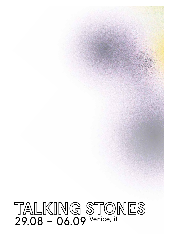# TALKING STONES<br>29.08 - 06.09 Venice, it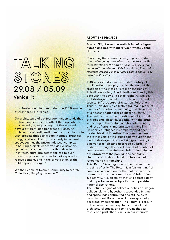### TALKING STONES 29.08 / 05.09

Venice, it

for a freeing architecture during the 16<sup>th</sup> Biennale of Architecture in Venice

"An architecture of co-liberation understands that exclusionary spaces also affect the populations they include, by suggesting that those included have a different, additional set of rights. An architecture of co-liberation refuses to collaborate with projects that participate in spatial practices of aggressive exclusion, particularly in carceral spaces such as the prison industrial complex, in housing projects conceived as exclusionary spaces or investments rather than dwelling, in infrastructural projects mobilized to push the urban poor out in order to make space for redevelopment, and in the privatisation of the public space at large. "

We the People of Detroit Community Research Collective , *Mapping the Water Crisis*

### **About the Project**

**Scape : "Right now, the earth is full of refugees, human and not, without refuge", writes Donna Haraway.**

*Concerning the restored memory of places under threat of ongoing colonial destruction: towards the reconstruction of the future of a unified, secular and democratic country for all its inhabitants, Palestinian residents, Jewish, exiled refugees, within and outside historical Palestine.* 

1948, a pivotal date in the modern history of the Palestinian people, it isalso the date of the creation of the State of Israel on the ruins of Palestinian society. The Palestinians identify this date with the day of a catastrophe, Al-Nakba, that destroyed the cultural, architectural, and societal infrastructure of historical Palestine. Thus, Al-Nakba is a collective trauma, a place of memory for a whole community, and the a matrix of a nascent nationalist political narrative. The destruction of the Palestinian habitat and of traditional lifestyles, together with the brutal wrenching of the brutal condition of uprooting and loss of origins, materialized in the piling up of exiled refugees in camps, far and deep inside historical Palestine. The camp became the "other-self" of the Israeli colony built on the land of destroyed cities and villages, turning into a mirror of a Palestine absorbed by Israel. In addition, through the development of a national consciousness, the stateless Palestinian refugee, has drawn from the popular and scholarly literature of Nakba to build a future named in reference to his homeland.

This "**Return**" is a negation of the present time, the time of exile. The Return is a "dismantling" of camps, as a condition for the realization of the return itself. It is the cornerstone of Palestinian subjectivity. A subjectivity that sits across reality and hope, between real-political and persistent national aspirations.

The Return, engine of collective adhesion, slogan, political claim, a hypothesis suspended in time and space, has contributed and still helps to recreate a lost Palestine, which was gradually absorbed by colonization. This return is a return to the collective memory, to its physical and architectural traces, and to its ruins that still testify of a past "that is in us, in our interiors".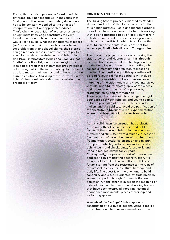Facing this historical process, a "non-imperialist" anthropology ("nonimperialist" in the sense that Said gives to the term) is demanded, since doubt has to be constantly applied to the effects of interpretation that our approach produces. That's why the recognition of witnesses as carriers of legitimate knowledge constitutes the very foundation of an architecture of memory that we would like to build. What the inhabitants of places (we/us) detail of their histories has never been separable from their political claims; their stories can gain or lose sense in a new context of political enunciation. Here, the statements of Palestinian and Israeli interlocutors (Arabs and Jews) are not "myths" of nationalist, identitarian, religious or ideological order; these statements are strategical acts through which the individuals try, to the like of us all, to master their journey and to have grasp on current situations. Analyzing these narratives in the light of atemporal categories, means missing their practical efficacy.

### **Contents and purposes**

The Talking Stones project is initiated by "MedFil Humanities Institute" thanks to the participation of Venetian partners (Pas-e and Biennale Urbana) as well as international ones. The team is working with a self-constituted body of local volunteers in Palestine, composed of students, young workers, architects and artists, inhabitants, collaborating with italian participants. It will consist of two workshops, **Studio Palestine** and **Topographies**.

The task of the project consists of exploring the cities of Acres and Hebron since 1948, through a connection between cultural heritage and the production of space under the occupation, where collective memory and architecture meet one another. The questioning of this space-time will be lead following different paths: it will include a model of one district of Hebron as well as a mapping of the cities, audio and video interviews with old inhabitants, photography of the places and the ruins, a gathering of popular arts, craftsman-ships and raw materials. These several patterns aim to expunge the rigid boundaries between scholars and young people, between professional artists, architects, video makers and the public, to avoid the petrification of the spectator in favour of a real experimentation where no subjective point of view is excluded.

As it is well-known, colonization has a plastic grasp on both collective memory and public space. At these levels, Palestinian people have suffered and still suffer from a multiple process of "deconstruction": several scales of disintegration, fragmentation, settler colonization and military occupation which ghettoized an entire society behind walls and checkpoints, forced exile and living in refugee camps for 70 years. Consequently, our project is part of a movement opposed to this mortifying deconstruction, it is thought of to "build" the conditions to think of a future, starting from the resistance to the ruins of the present, as it exists in cultural heritage and daily life. The quest is on the one hand to build continuity and a future-oriented attitude precisely where occupation brought fragmentation and depletion. On the other to question the meaning of a decolonial architecture, as in rebuilding houses that have been destroyed, repairing historical abandoned monuments, places of worship and socializing spaces.

*What about the "heritage"?* Public space is constructed by our public actions. Using a toolkit drawn from architecture, monuments or urban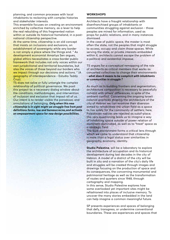planning, and common processes with local inhabitants to reckoning with complex histories and stakeholder interests.

This ensemble focuses on creating an environment enriched by collective memory, as a lever to help the real rebuilding of this fragmented nation within or outside its historical homeland, in a postnational citizenship perspective.

At the same time, citizenship is an old concept that insists on inclusions and exclusions, on establishment of sovereignty while any border is not simply a place where the things end. " As development economist Amartya Sen argues, global ethics necessitates a cross-border public framework that includes not only voices within our own jurisdictional and territorial boundaries, but also the voices of those beyond our borders who we impact through our decisions and actions. " (A geography of interdependence - Estudio Teddy Cruz).

TS does not solve or fully untangle the complex relationship of political governance. We posit this project as a necessary dialog window about the conditions, methodologies, and intervention of inclusion and exclusion that impact all of us. Our intent is to render visible the paradoxes and ormulations of belonging. *Only when this new citizenship is in sight might we struggle free from past definitions forms, low and bureaucracies,and activate an empowerment space for new design possibilities.*

### **workshopS**

Architects have a fraught relationship with disenfranchised groups of inhabitants or communities struggling against exclusion - those peoples are mined for information, used as props for public relations, and in many instances dismissed.

In the case of public space, the master is most often the state, not the peoples that might struggle to access, occupy and claim those spaces. While serving the state, or private interests embedded within it, architects cannot escape the problem of a political and existential impasse.

TS argues for a conceptual remapping of the role of architects as critical members that works as concerted collectives to change their environments - *what does it means to be complicit with inhabitants or communities in struggle ?*

As much as in building frontiers and segmentation, architecture composition is necessary to peacefully cohabit with others' differences, in spite of the ambient conflict. Concerning the ongoing Israeli colonial practices shaping the architecture of the city of Hebron we can examine their diversion aimed to rehabilitate the urban field as a space to live solely for the community of settlers; here, Palestinian natives are rejected as outof-place; this very questioning leads us to imagine a way of inhabiting space outside of power relation of dominant-dominated, as well as to "treat" space as a strategic field.

The built environment forms a critical lens through which we come to understand that citizenship is more than a legal status over similarities in geography, economy, identity.

**Studio Palestine**, will be a laboratory to explore the architecture of occupation and its historical development during last decades in the city of Hebron. A model of a district of the city will be built in situ and a narration of the city's daily life and struggles will be created through images and drawings focusing on the production of space and its consequences, the concerning monumental and patrimonial heritage as well as the transformation of routes and quarters since 1948, through cartography and mapping.

In this sense, Studio Palestine explores how some overlooked yet important sites might be refashioned into places of inclusive memory. To uncover the many stories embedded in the land can help imagine a common meaningful future.

SP presents experiences and spaces of belonging that defy, transgress, or undermine conventional boundaries. These are experiences and spaces that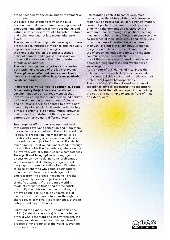are not defined by enclosure, but by movement or transition.

We explore the changing form of the built environment in different dimensions (legal, social, emotional) and different dimensions (actual and virtual) in which new forms of citizenship, mutable and ephemeral but not less meaningful, take place.

The spaces of citizenship under investigation here are marked by histories of violence and inequality imposed on people and ecologies.

We explore the "region" beyond established political borders, and against he abstraction of the nation-state and other internal/external threats or boundaries.

The land management Israeli system operates both within and outside of the logic of region. *How might an architectural practice react to and interact with regions defined by exile and politicalcounter narrative?* 

In this respect, we will hold **Topographies, Sound Documentary Project**: we have developed a circular initiation path, a double circuit that involves collecting stories and their sound habitat by following readings, descriptions of places and narrations; it will be oriented to draw a new geography of ecological citizenship with the help of visual contents, like photos, images, drawings and a model of a district of the city as well as a cartography articulating different layers.

Topographies offers a decisive apprenticeship that reaches everyone's situation and, from there, the very sense of expertise in the social world and its cultural production. Put more simply, it is a question of knowing whether we can understand the world as an object far from oneself - which is much simpler, - or if we can understand it through the unfathomable lived experience, where we are all involved, with or without specific competences. *The objective of Topographies* is to engage in a discussion on how to define some problematic situations without deploying categories and languages that are institutionalized. We attempt to do so by showing why some classifications do not work in front of a knowledge that emerges from the breaks in meaning - breaks that, generally, are not object of scholar, scientific attention. If the ordinary world is made of categories that bring the "scientists" to classify thoughts and human practices, it is always possible to turn to an undertaking of deconstruction of these categories through the short-circuits of *in vivo*, lived experience, of *in situ* critique, and maybe failures.

Following the experience of Topographies, the public (reader-listenervisitor) is able to discover a world where the word and its environment, the pauses, sounds and silences, their spontaneity, propose other orderings of the world, subverting the current ones.

Reintegrating context becomes even more necessary as the history of this Mediterranean region cuts across a society in full transformation, carrier of political concerns. It is not question of denying the domination exercised by the Western discourse through its political coercing mechanisms, but rather of getting to conceive of a co-presence of local discourses. Local discourses do not become diminished since, because of their very existence, they can have us change our gaze on architecture, its patrimony and the use of space, on image and time, on exoticism, communication and conflict/s.

It is at this ground-level of terrain that we come across learning processes and experiences of knowledge.

At the heart of this journey of listening is the political role of speech, its voices, the sounds that surround living spaces and the silences that protect what would be unspeakable. The succession of different sensible orders of experience aims to deconstruct the spectator's attitude, to let the self be shaped in the making of the path, and not simply to stay in front of it, as an exterior actor.

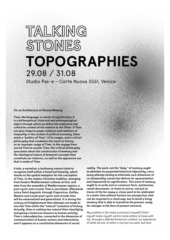### TALKING STONES **TOPOGRAPHIES** 29.08 / 31.08

Studio Pas-e – Corte Nuova 3561, Venice

### *For an Architecture of Shared Memory*

*Time, like language, is carrier of signification; it is a philosophical, historical and anthropological object through which we define the subjective and collective content of the relation to the Other. If Time can give shape to power relations and relations of inequality in the context of political economy, there exists a "politics of Time," of its usages, and a critical philosophy that condemns the resort to history as an improper usage of Time. In the voyage from sacred Time to secular Time, this critical philosophy speculates about the construction of memory and the ideological nature of temporal concepts that constitute our rhetorics, as well as the oppressive use that is made of Time.*

*A tale, a narrative, a testimony cannot claim to recognize itself within a historical linearity, which stands as the spatial metaphor for the conception of Time. In the Judaeo-Christian tradition, emerging from Eastern Mediterranean cultures at first, and later from the ensemble of Mediterranean regions, a post-cyclic and circular Time is sacralized. Afterwards (since Saint Augustin, through Copernicus, Galileo, Newton and Locke) post-cyclic and circular time will be universalized and generalized. It is during the century of Enlightenment that attempts are made to inscribe Time within the "natural" evolution of history. Actually, there is nothing less natural than classifying and giving a historical measure to human activity: Time is intersubjective, connected to the dimension of communication of human actions and interactions, and it appears as a constitutive dimension of social* 

*reality. The work, not the "duty," of memory ought to abandon its purported historical objectivity, since every attempt aiming to eliminate such dimension of co-temporality cannot but deform its representation and impoverish its signification. This work of memory ought to re-write and re-construct facts, testimonies, revisit documents, re-listen to voices, not just as traces of the far-away or closer past to be celebrated in a static time without horizon nor perspective, that can be recycled in a ritual way, but to build a living memory that is able to transform the present, ready for changes in the face of present concerns.*

*My problem is [to make (construct) myself/] that I myself make myself, and to invite others to have with me, through a defined historical content, an experience of what we are, of what is not just our past, but also*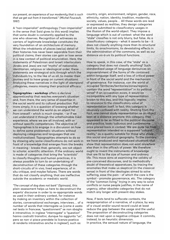*our present, an experience of our modernity that is such that we get out from it transformed." (Michel Foucault, 1997)*

A "non-imperialist" anthropology ("non-imperialist" in the sense that Said gives to this word) implies that some doubt is constantly applied to the one who observes. Recognition of witnesses as carriers of legitimate knowledge constitutes the very foundation of an architecture of memory. What the inhabitants of places (we/us) detail of their histories has never been separable from their political claims; their stories can gain or lose sense in a new context of political enunciation. Here, the statements of Palestinian and Israeli interlocutors (Arabs and Jews) are not "myths" of nationalist, identitarian, religious or ideological order; these statements are strategical acts through which the individuals try, to the like of us all, to master their journey and to have grasp on current situations. Analyzing these narratives in the light of atemporal categories, means missing their practical efficacy.

**Topographies - workshop** offers a decisive apprenticeship that reaches everyone's situation and, from there, the very sense of expertise in the social world and its cultural production. Put more simply, it is a question of knowing whether we can understand the world as an object far from oneself - which is much simpler, - or if we can understand it through the unfathomable lived experience, where we are all involved, with or without specific competences. The objective of Topographies is to engage in a discussion on how to define some problematic situations without deploying categories and languages that are institutionalized. Topographies attempts to do so by showing why some classifications do not work in front of a knowledge that emerges from the breaks in meaning - breaks that, generally, are not object to scholar, scientific attention. If the ordinary world is made of categories that bring the "scientists" to classify thoughts and human practices, it is always possible to turn to an undertaking of deconstruction of these categories through the short-circuits of in vivo, lived experience, of in situ critique, and maybe failures. There are words that do not classify anything, that are ineffective outside the academic or mediatic world.

*"The concept of dog does not bark"* (Spinoza), this plain assessment helps us here to deconstruct the experts' discourse in order to re-appropriate words as used in their ordinary context, for instance by making an inventory within the collection of stories, conversational exchanges, interviews… of a number of words that interrogate us [come é usato nel testo in francese, "questionnent" se non sbaglio è intransitivo; in inglese "interrogate" o "question" hanno costrutti transitivi, dunque ho aggiunto "us", pero se non vi piace prendete la licenza poetica di renderlo intransitivo anche in inglese!], such as:

country, origin, environment, religion, gender, race, ethnicity, nation, identity, tradition, modernity, society, values, people… All these words are read or expressed as realities, they design categories and are submitted to classificatory usages in the illusion of the world-object. They impose a language which is out of context: what the word "state" classifies is not only blurry, but false. As a classificatory category - what it asserts to be - it does not classify anything more than its structural limits, its anachronisms, its devastating effects in the administration of the commons, as well as our distance *vis-à-vis* its political functions.

How to speak, in this case, of the "state" as a category that does not classify anything? Such standardized usage of language denounces an impoverishment of the forms of life contained within language itself, and a loss of critical power in front of the social world and the mechanism of governance. For instance, can the world of occupied Territories/territories/zones/regions contain the word "representation" in its political sense? If an occupation exists, it would be incompatible with any type of representation known to this day, and this logically implies to renounce to the classificatory value of representation itself. In fact, this category is abusively confused with reality. Starting from this fact, one cannot study representation as an object kept at a distance anymore; this category, that appeared to be so fitted to the political discourse and practice, looks ludicrous and cumbersome once placed back in context. We are quite far from representation intended as a supposed "cultural reality," as a quality suitable for those who share this social and political geography. To the contrary, we have produced and reproduced situations that show that representation does not exist anywhere else than in the office/s of power. We therefore ought to invent the instruments of knowledge that are fit to the size of human and ordinary life. This move aims at examining the validity of pre-conceived discourses, and to methodically doubt of theoretical apparatuses, by tracing the anomalies that make us skeptical (in the classical sense) in front of the ideologies aimed to solve suffering, ease the pain - of which the care is the symbol - promote gouvernance, etc. The category of the "common living," trying in any way to solve conflicts or nurse people justifies, in the name of urgency, other obsolete categories that do not match any longer with present-day stakes.

Now, if texts tend to suffocate contexts, the reappropriation of a narrative, of a place, by way of a visual and/or sound record could at least reduce the gap between the usage and the useful. The proposition of deconstructing categories does not rest upon a negative critique: it commits, instead, to an heuristic dimension. In practice, the sensual nature of language, the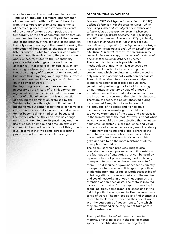voice incarnated in a material medium - sound - makes of language a temporal phenomenon of communication with the Other. Differently from the temporality of physical movements, of chemical processes, of astronomical events, of growth or of organic decomposition, the temporality of the act of communication through sound implies the co-temporality of the speaker and of the listener, of the self and of the other (in the polyvalent meaning of the term). Following the fabrication of Topographies, the public (readerlistener-visitor) is able to discover a world where the word and its environment, the pauses, sounds and silences, restituted to their spontaneity, propose other orderings of the world, other categories - that it suits to restitute as such. By narrating our troubles, and our fears too, we show that the category of "representation" is not valid but, more than anything, we bring to the surface a convoluted and evolutionary game of roles, axed on the power of words.

Reintegrating context becomes even more necessary as the history of this Mediterranean region cuts across a society in full transformation, carrier of political concerns. It is not question of denying the domination exercised by the Western discourse through its political coercing mechanisms, but rather of getting to conceive of a co-presence of local discourses. Local discourses do not become diminished since, because of their very existence, they can have us change our gaze on architecture, its patrimony and the use of space, on image and time, on exoticism, communication and conflict/s. It is at this groundlevel of terrain that we come across learning processes and experiences of knowledge.

### **Decolonizing Knowledge**

Foucault, 1977, Collège de France: *Foucault, 1977, Collège de France : "Which speaking subject, which discussing subject, which subject of experience and of knowledge, do you want to diminish when you state : "I, who speak this discourse, I am speaking a scientific discourse and I am a savant"? (...) Actually, it is question of having local knowledges at play, discontinuous, disqualified, non-legitimate knowledges, opposed to the theoretical body which would claim to filter them, to hierarchize them, to order them in the name of a true knowledge, in the name of the rights of a science that would be detained by some."* The scientific discourse is provided with a methodological rigor which is also vowed to reproduce its authority, by way of a game of conventions which circulate in isolation, meeting only rarely and occasionally with non-specialists. Through time, visual tools have surely helped to make researches accessible to outsiders, yet without questioning the fact of fabricating an authoritative posture by way of a gaze of expertise: hence, the experts' discourse becomes the instrumental version of the scientific discourse. Therefore the seen, the object observed during a suspended Time, that of viewing and of its language, of its codes and its narrative mechanisms, is a knowledge which filters the subjective experience of the gaze, and exorcizes it in the framework of the real. Yet why is it that what we can see would be more objective than what we hear, smell or taste? Visual experience and visual expressions of experience have a general tendency - in the homogenizing and global sphere of the web - to be concerned about visual aesthetics: our scientific tradition which privileges sight/ gaze appears to be the more resistant of all the principles of empiricism.

The discourse which produces images also nourishes decisional processes, and it consists in the fabrication of categories that can be used by representatives of policy-making bodies, having to respond to those who chose them (or vote for them). The discourse of governance feeds directly on experts' discourses, and it hinges on practices of identification and usage of words susceptible of obtaining efficacious repercussions in the medias and social networks, in a loop that captures the attention of non-specialists. The rhetoric inspired by words dictated at first by experts operating in social, political, demographic sciences and in the field of political ecology, neutralize the vernacular sense of words. The non-specialists find themselves forced to think their history and their social world with the categories of gouvernance, from which they are excluded since they do not take part in their construction.

The topoï, the "places" of memory in ancient rhetoric, anchoring spots in the real or mental space of scientific discourse, are objects of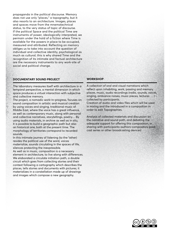propaganda in the political discourse. Memory does not use only "places," a topography, but it also resorts to an architecture. Images, places and spaces move from the mnemotechnical status, to the very status of topic of discourse. If the political Space and the political Time are instruments of power, ideologically interpreted, we permain under the hold of a fiction where Time is available for the powers in place to be occupied, measured and attributed. Reflecting on memory obliges us to take into account the question of individual and collective identity, psychological as much as cultural; this is why shared Time and the recognition of its intimate and factual architecture are the necessary instruments to any work-site of social and political change.

### **Documentary Sound Project**

The laboratory measures itself with architecture in a temporal perspective, a mental dimension in which space produces a virtual interaction with subjective and collective memory.

The project, a nomadic work-in-progress, focuses on sound composition in artistic and musical creation by using voices and singing, traditional music of Middle East, where the voice has a great influence, as well as contemporary music, along with personal and collective narratives, storytellings, poetry… By using audio materials, in archive as well as in situ, it is possible to build a geographic path but also an historical one, both at the present time. The morphology of territories correspond to recorded sounds.

In this intimate journey of listening (to the "other) resides the political use of the word, voices materialize, sounds circulating in the spaces of life, silences protecting the inexpressible.

As well as in music, composition is a necessary element in architecture, to live along with differences. We elaborated a circulate initiation path, a double circuit which goes from collecting stories and their context following a cartography which describes the places, tells stories and documents with pictures; it materializes in a constellation made up of drawings and images which compose a new geography.

### **Workshop**

A collection of oral and visual narrations which reflect upon inhabiting, work, passing and memory places, music, audio recordings (radio, sounds, voices, singing, ambiance noises, music pieces, lectures … ) collected by participants.

Creation of audio and video files which will be used in mixing and the introduced in a composition in order to edit Topographies.

Analysis of collected materials and discussion on the narrative and sound path, and debating the adequate support for offering this composition, in sharing with participants-authors-compositors (podcast series or other broadcasting devices)

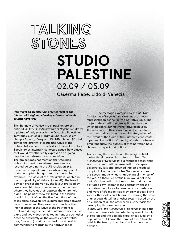### TALKING STONES

### **STUDIO PALESTINE** 02.09 / 05.09

Caserma Pepe, Lido di Venezia

### *How might an architectural practice react to and interact with regions defined by exile and politicalcounter narrative?*

The Biennale of Venice Israeli pavilion project entitled *In Statu Quo: Architecture of Negotiation* draws a picture of holy places in the Occupied Palestinian Territories such as al Haram al Sharif/Jerusalem (Temple Mount), Mosque of Bilal/Bethlehem (Rachel Tomb), the Ibrahimi Mosque (the Cave of the Patriarchs), and out-of-context inclusion of the Holy Sepulchre as internally contested space, holy places that would hypothetically express an on-going negotiation between two communities. The project does not mention the Occupied Palestinian Territories where these sites are located. According to the UN resolution 242, these are occupied territories where any spatial or demographic changes are sanctioned. For example, The Cave of the Patriarchs is located in the occupied city of Hebron (area H2). The Israeli pavilion project shows how the layout provided by Jewish and Muslim communities at the moment where they have at their disposal the entire holy place. The point of view exhibited in the Israeli pavilion is that of an effective "negotiation" that takes place between two cultures but also between two communities. The project narrates how the interior space of the Cave of the Patriarchs is displayed during the period of alternate access. Two plans and two videos exhibited in front of each other describe accurately all the objects (chairs, tables, rugs, fans etc...) used by the Muslim and Jewish communities to rearrange their prayer space.

The message expressed by *In Statu Quo: Architecture of Negotiation* as well as the chosen representation define firstly a narrative issue. The project refers itself to an exceptional situation, which happens during twenty days each year. The relevance of this narration can be therefore questioned. How can a so detailed storytelling of the layout of the Cave of the Patriarchs constitute a pertinent narration of the city of Hebron whereas, simultaneously, the authors of that narration have chosen a so specific situation?

Transposing the speech onto the religious field makes the discussion less intense. *In Statu Quo: Architecture of Negotiation* is a fantasised story that leads to an aesthetic representation of a speech deliberately lost and drowned into an anecdotal myopia. If it remains a Status Quo, so why does this speech masks what is happening all the rest of the year? If there is a Status Quo, would not it be that of a domination that macerates and lasts in a striated city? Hebron is the constant witness of a constant unbalance between urban experiences and ways of life made visible by daily spaces, living spaces, thresholds and itineraries. Leaving the scale of anecdotal detail for another system based on the articulation of all the other scales is the basis for developing this new narrative.

I*n Statu Quo : the Architecture of Domination* pulls the thread of these scales in order to represent the city of Hebron and the possible experiences lived by a population that knows the Tomb of the Patriarchs outside the twenty days described by the Israeli pavilion.